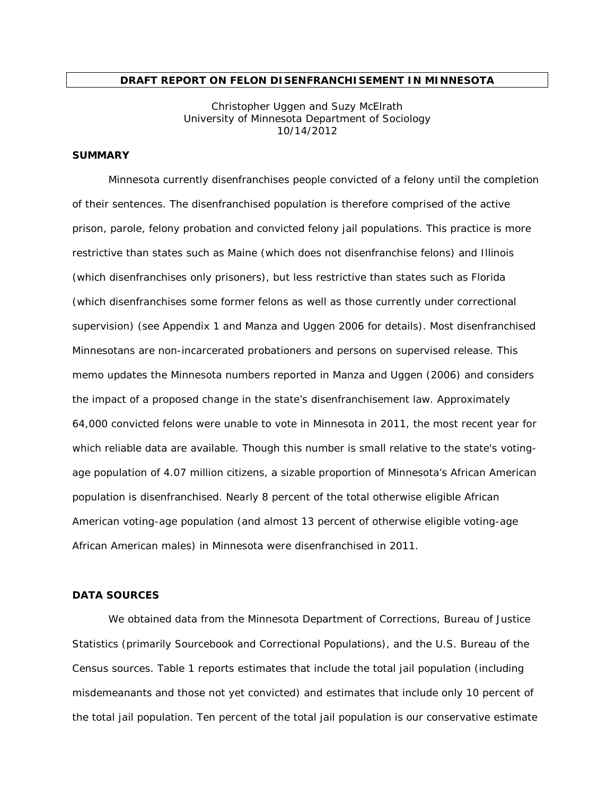#### **DRAFT REPORT ON FELON DISENFRANCHISEMENT IN MINNESOTA**

Christopher Uggen and Suzy McElrath University of Minnesota Department of Sociology 10/14/2012

## **SUMMARY**

Minnesota currently disenfranchises people convicted of a felony until the completion of their sentences. The disenfranchised population is therefore comprised of the active prison, parole, felony probation and convicted felony jail populations. This practice is more restrictive than states such as Maine (which does not disenfranchise felons) and Illinois (which disenfranchises only prisoners), but less restrictive than states such as Florida (which disenfranchises some former felons as well as those currently under correctional supervision) (see Appendix 1 and Manza and Uggen 2006 for details). Most disenfranchised Minnesotans are *non-incarcerated* probationers and persons on supervised release. This memo updates the Minnesota numbers reported in Manza and Uggen (2006) and considers the impact of a proposed change in the state's disenfranchisement law. Approximately 64,000 convicted felons were unable to vote in Minnesota in 2011, the most recent year for which reliable data are available. Though this number is small relative to the state's votingage population of 4.07 million citizens, a sizable proportion of Minnesota's African American population is disenfranchised. Nearly 8 percent of the total otherwise eligible African American voting-age population (and almost 13 percent of otherwise eligible voting-age African American males) in Minnesota were disenfranchised in 2011.

#### **DATA SOURCES**

We obtained data from the Minnesota Department of Corrections, Bureau of Justice Statistics (primarily *Sourcebook* and *Correctional Populations*), and the U.S. Bureau of the Census sources. Table 1 reports estimates that include the total jail population (including misdemeanants and those not yet convicted) and estimates that include only 10 percent of the total jail population. Ten percent of the total jail population is our conservative estimate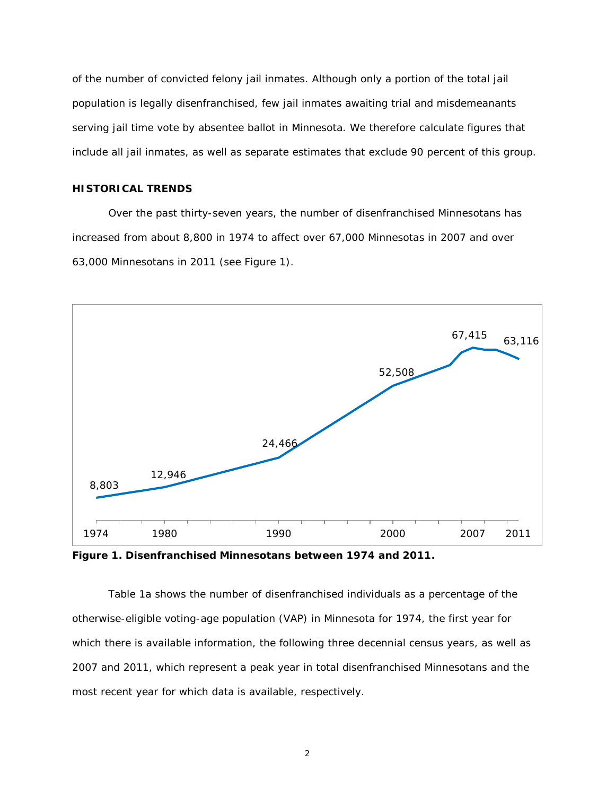of the number of convicted felony jail inmates. Although only a portion of the total jail population is legally disenfranchised, few jail inmates awaiting trial and misdemeanants serving jail time vote by absentee ballot in Minnesota. We therefore calculate figures that include *all* jail inmates, as well as separate estimates that exclude 90 percent of this group.

## **HISTORICAL TRENDS**

Over the past thirty-seven years, the number of disenfranchised Minnesotans has increased from about 8,800 in 1974 to affect over 67,000 Minnesotas in 2007 and over 63,000 Minnesotans in 2011 (see Figure 1).



**Figure 1. Disenfranchised Minnesotans between 1974 and 2011.**

Table 1a shows the number of disenfranchised individuals as a percentage of the otherwise-eligible voting-age population (VAP) in Minnesota for 1974, the first year for which there is available information, the following three decennial census years, as well as 2007 and 2011, which represent a peak year in total disenfranchised Minnesotans and the most recent year for which data is available, respectively.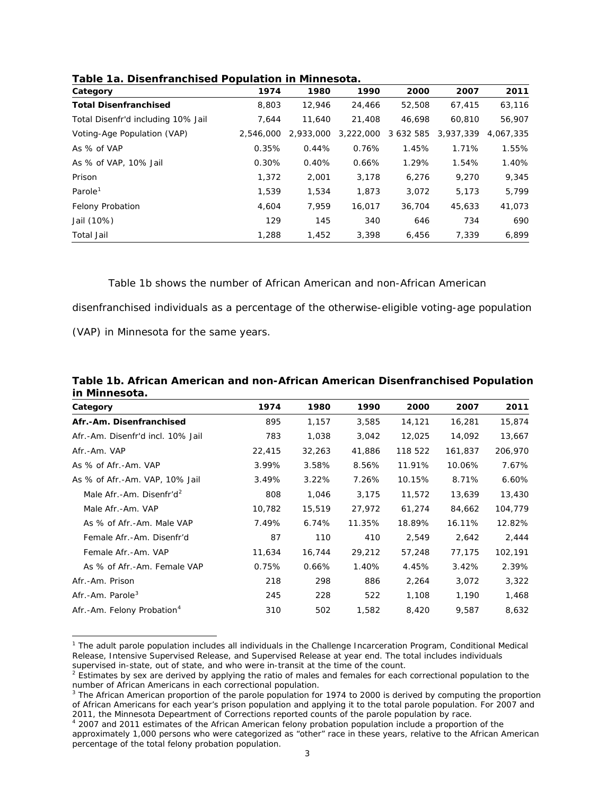| Category                           | 1974      | 1980      | 1990      | 2000      | 2007      | 2011      |
|------------------------------------|-----------|-----------|-----------|-----------|-----------|-----------|
| <b>Total Disenfranchised</b>       | 8,803     | 12,946    | 24,466    | 52,508    | 67,415    | 63,116    |
| Total Disenfr'd including 10% Jail | 7.644     | 11,640    | 21,408    | 46.698    | 60,810    | 56,907    |
| Voting-Age Population (VAP)        | 2,546,000 | 2,933,000 | 3,222,000 | 3 632 585 | 3.937.339 | 4,067,335 |
| As % of VAP                        | 0.35%     | 0.44%     | 0.76%     | 1.45%     | 1.71%     | 1.55%     |
| As % of VAP, 10% Jail              | 0.30%     | 0.40%     | 0.66%     | 1.29%     | 1.54%     | 1.40%     |
| Prison                             | 1,372     | 2,001     | 3,178     | 6,276     | 9.270     | 9,345     |
| Parole <sup>1</sup>                | 1,539     | 1,534     | 1,873     | 3,072     | 5,173     | 5,799     |
| <b>Felony Probation</b>            | 4,604     | 7,959     | 16,017    | 36,704    | 45,633    | 41,073    |
| Jail (10%)                         | 129       | 145       | 340       | 646       | 734       | 690       |
| <b>Total Jail</b>                  | 1,288     | 1,452     | 3.398     | 6,456     | 7,339     | 6,899     |

**Table 1a. Disenfranchised Population in Minnesota.**

### Table 1b shows the number of African American and non-African American

disenfranchised individuals as a percentage of the otherwise-eligible voting-age population

(VAP) in Minnesota for the same years.

| Table 1b. African American and non-African American Disenfranchised Population |      |       |       |        |        |        |
|--------------------------------------------------------------------------------|------|-------|-------|--------|--------|--------|
| in Minnesota.                                                                  |      |       |       |        |        |        |
| Category                                                                       | 1974 | 1980  | 1990. | 2000   | 2007   | 2011   |
| Afr.-Am. Disenfranchised                                                       | 895  | 1.157 | 3.585 | 14.121 | 16.281 | 15.874 |

| Afr.-Am. Disenfranchised               | 895    | 1,157  | 3,585  | 14,121  | 16,281  | 15,874  |
|----------------------------------------|--------|--------|--------|---------|---------|---------|
| Afr.-Am. Disenfr'd incl. 10% Jail      | 783    | 1,038  | 3,042  | 12,025  | 14,092  | 13,667  |
| Afr.-Am. VAP                           | 22,415 | 32,263 | 41,886 | 118 522 | 161,837 | 206,970 |
| As % of Afr.-Am. VAP                   | 3.99%  | 3.58%  | 8.56%  | 11.91%  | 10.06%  | 7.67%   |
| As % of Afr.-Am. VAP, 10% Jail         | 3.49%  | 3.22%  | 7.26%  | 10.15%  | 8.71%   | 6.60%   |
| Male Afr.-Am. Disenfr'd <sup>2</sup>   | 808    | 1,046  | 3,175  | 11,572  | 13,639  | 13,430  |
| Male Afr.-Am. VAP                      | 10,782 | 15,519 | 27,972 | 61,274  | 84,662  | 104,779 |
| As % of Afr.-Am. Male VAP              | 7.49%  | 6.74%  | 11.35% | 18.89%  | 16.11%  | 12.82%  |
| Female Afr.-Am. Disenfr'd              | 87     | 110    | 410    | 2,549   | 2,642   | 2,444   |
| Female Afr.-Am. VAP                    | 11,634 | 16,744 | 29,212 | 57,248  | 77,175  | 102,191 |
| As % of Afr.-Am. Female VAP            | 0.75%  | 0.66%  | 1.40%  | 4.45%   | 3.42%   | 2.39%   |
| Afr.-Am. Prison                        | 218    | 298    | 886    | 2,264   | 3,072   | 3,322   |
| Afr.-Am. Parole <sup>3</sup>           | 245    | 228    | 522    | 1,108   | 1,190   | 1,468   |
| Afr.-Am. Felony Probation <sup>4</sup> | 310    | 502    | 1,582  | 8,420   | 9,587   | 8,632   |
|                                        |        |        |        |         |         |         |

<span id="page-2-0"></span> $\overline{a}$ <sup>1</sup> The adult parole population includes all individuals in the Challenge Incarceration Program, Conditional Medical Release, Intensive Supervised Release, and Supervised Release at year end. The total includes individuals supervised in-state, out of state, and who were in-transit at the time of the count.

<span id="page-2-1"></span> $<sup>2</sup>$  Estimates by sex are derived by applying the ratio of males and females for each correctional population to the</sup> number of African Americans in each correctional population.

<span id="page-2-2"></span> $3$  The African American proportion of the parole population for 1974 to 2000 is derived by computing the proportion of African Americans for each year's prison population and applying it to the total parole population. For 2007 and<br>2011, the Minnesota Depeartment of Corrections reported counts of the parole population by race.

<span id="page-2-3"></span><sup>&</sup>lt;sup>2</sup> 2007 and 2011 estimates of the African American felony probation population include a proportion of the approximately 1,000 persons who were categorized as "other" race in these years, relative to the African American percentage of the total felony probation population.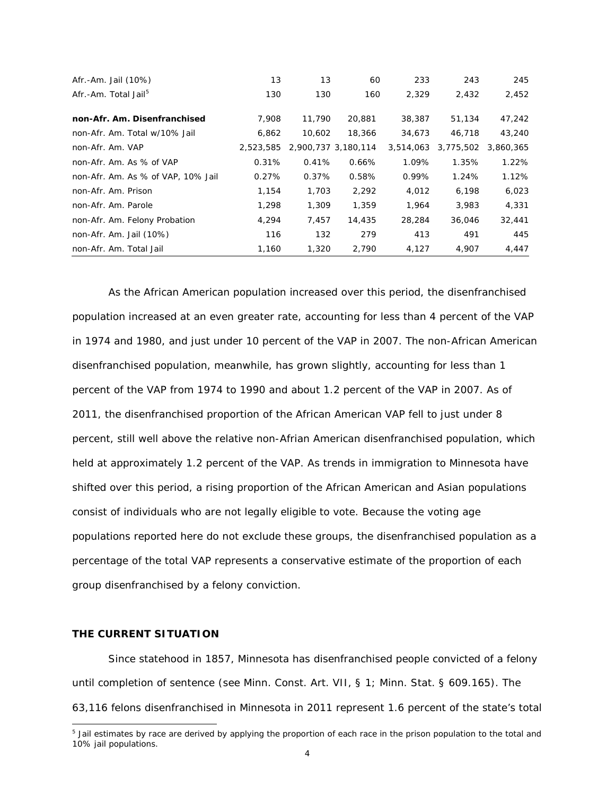| Afr.-Am. Jail (10%)                | 13        | 13                  | 60     | 233       | 243       | 245       |
|------------------------------------|-----------|---------------------|--------|-----------|-----------|-----------|
| Afr.-Am. Total Jail <sup>5</sup>   | 130       | 130                 | 160    | 2,329     | 2,432     | 2,452     |
|                                    |           |                     |        |           |           |           |
| non-Afr. Am. Disenfranchised       | 7,908     | 11,790              | 20,881 | 38,387    | 51,134    | 47,242    |
| non-Afr. Am. Total w/10% Jail      | 6,862     | 10,602              | 18,366 | 34,673    | 46,718    | 43,240    |
| non-Afr. Am. VAP                   | 2,523,585 | 2,900,737 3,180,114 |        | 3,514,063 | 3,775,502 | 3,860,365 |
| non-Afr. Am. As % of VAP           | 0.31%     | 0.41%               | 0.66%  | 1.09%     | 1.35%     | 1.22%     |
| non-Afr. Am. As % of VAP, 10% Jail | 0.27%     | 0.37%               | 0.58%  | 0.99%     | 1.24%     | 1.12%     |
| non-Afr. Am. Prison                | 1,154     | 1,703               | 2,292  | 4,012     | 6,198     | 6,023     |
| non-Afr. Am. Parole                | 1,298     | 1,309               | 1,359  | 1.964     | 3,983     | 4,331     |
| non-Afr. Am. Felony Probation      | 4,294     | 7.457               | 14,435 | 28,284    | 36,046    | 32,441    |
| non-Afr. Am. Jail (10%)            | 116       | 132                 | 279    | 413       | 491       | 445       |
| non-Afr. Am. Total Jail            | 1,160     | 1,320               | 2,790  | 4,127     | 4,907     | 4,447     |

As the African American population increased over this period, the disenfranchised population increased at an even greater rate, accounting for less than 4 percent of the VAP in 1974 and 1980, and just under 10 percent of the VAP in 2007. The non-African American disenfranchised population, meanwhile, has grown slightly, accounting for less than 1 percent of the VAP from 1974 to 1990 and about 1.2 percent of the VAP in 2007. As of 2011, the disenfranchised proportion of the African American VAP fell to just under 8 percent, still well above the relative non-Afrian American disenfranchised population, which held at approximately 1.2 percent of the VAP. As trends in immigration to Minnesota have shifted over this period, a rising proportion of the African American and Asian populations consist of individuals who are not legally eligible to vote. Because the voting age populations reported here do not exclude these groups, the disenfranchised population as a percentage of the total VAP represents a conservative estimate of the proportion of each group disenfranchised by a felony conviction.

#### **THE CURRENT SITUATION**

 $\overline{a}$ 

Since statehood in 1857, Minnesota has disenfranchised people convicted of a felony until completion of sentence (see Minn. Const. Art. VII, § 1; Minn. Stat. § 609.165). The 63,116 felons disenfranchised in Minnesota in 2011 represent 1.6 percent of the state's total

<span id="page-3-0"></span><sup>&</sup>lt;sup>5</sup> Jail estimates by race are derived by applying the proportion of each race in the prison population to the total and 10% jail populations.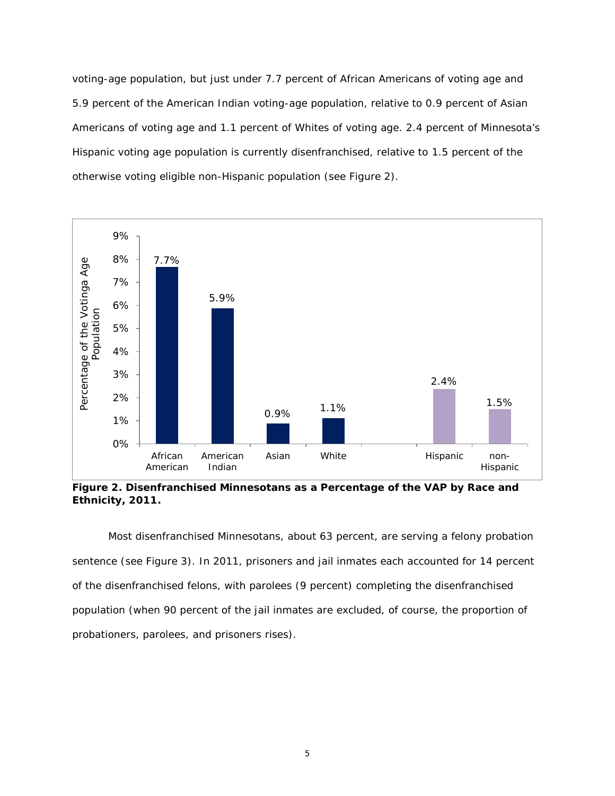voting-age population, but just under 7.7 percent of African Americans of voting age and 5.9 percent of the American Indian voting-age population, relative to 0.9 percent of Asian Americans of voting age and 1.1 percent of Whites of voting age. 2.4 percent of Minnesota's Hispanic voting age population is currently disenfranchised, relative to 1.5 percent of the otherwise voting eligible non-Hispanic population (see Figure 2).



**Figure 2. Disenfranchised Minnesotans as a Percentage of the VAP by Race and Ethnicity, 2011.**

Most disenfranchised Minnesotans, about 63 percent, are serving a felony probation sentence (see Figure 3). In 2011, prisoners and jail inmates each accounted for 14 percent of the disenfranchised felons, with parolees (9 percent) completing the disenfranchised population (when 90 percent of the jail inmates are excluded, of course, the proportion of probationers, parolees, and prisoners rises).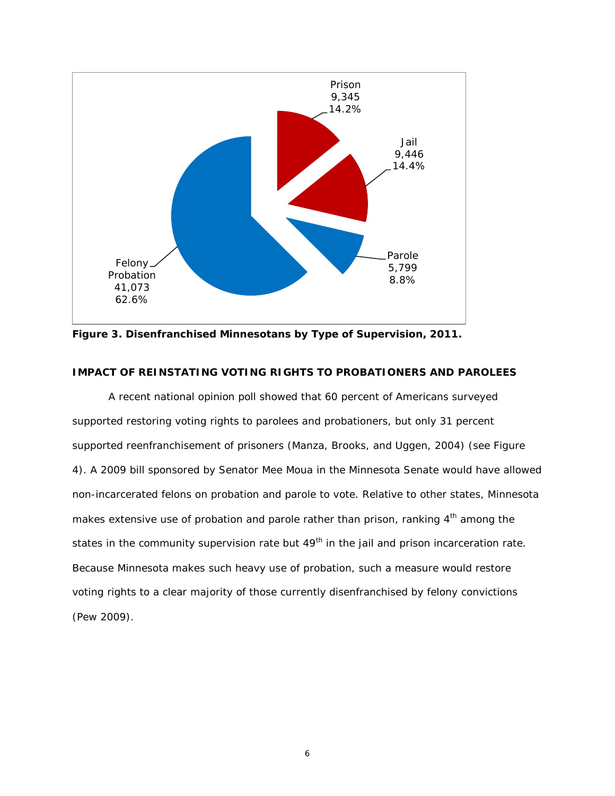

**Figure 3. Disenfranchised Minnesotans by Type of Supervision, 2011.**

### **IMPACT OF REINSTATING VOTING RIGHTS TO PROBATIONERS AND PAROLEES**

A recent national opinion poll showed that 60 percent of Americans surveyed supported restoring voting rights to parolees and probationers, but only 31 percent supported reenfranchisement of prisoners (Manza, Brooks, and Uggen, 2004) (see Figure 4). A 2009 bill sponsored by Senator Mee Moua in the Minnesota Senate would have allowed non-incarcerated felons on probation and parole to vote. Relative to other states, Minnesota makes extensive use of probation and parole rather than prison, ranking  $4<sup>th</sup>$  among the states in the community supervision rate but  $49<sup>th</sup>$  in the jail and prison incarceration rate. Because Minnesota makes such heavy use of probation, such a measure would restore voting rights to a clear majority of those currently disenfranchised by felony convictions (Pew 2009).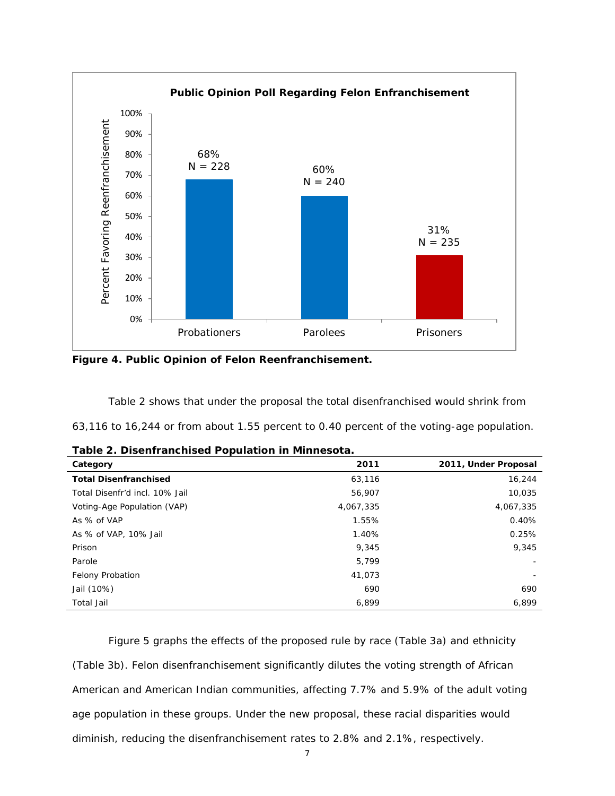

**Figure 4. Public Opinion of Felon Reenfranchisement.**

Table 2 shows that under the proposal the total disenfranchised would shrink from 63,116 to 16,244 or from about 1.55 percent to 0.40 percent of the voting-age population.

| - <b>-</b> - -<br>Category     | 2011      | 2011, Under Proposal |
|--------------------------------|-----------|----------------------|
| <b>Total Disenfranchised</b>   | 63,116    | 16,244               |
| Total Disenfr'd incl. 10% Jail | 56,907    | 10,035               |
| Voting-Age Population (VAP)    | 4,067,335 | 4,067,335            |
| As % of VAP                    | 1.55%     | 0.40%                |
| As % of VAP, 10% Jail          | 1.40%     | 0.25%                |
| Prison                         | 9,345     | 9,345                |
| Parole                         | 5.799     |                      |
| <b>Felony Probation</b>        | 41,073    |                      |
| Jail (10%)                     | 690       | 690                  |
| <b>Total Jail</b>              | 6,899     | 6,899                |

Figure 5 graphs the effects of the proposed rule by race (Table 3a) and ethnicity (Table 3b). Felon disenfranchisement significantly dilutes the voting strength of African American and American Indian communities, affecting 7.7% and 5.9% of the adult voting age population in these groups. Under the new proposal, these racial disparities would diminish, reducing the disenfranchisement rates to 2.8% and 2.1%, respectively.

7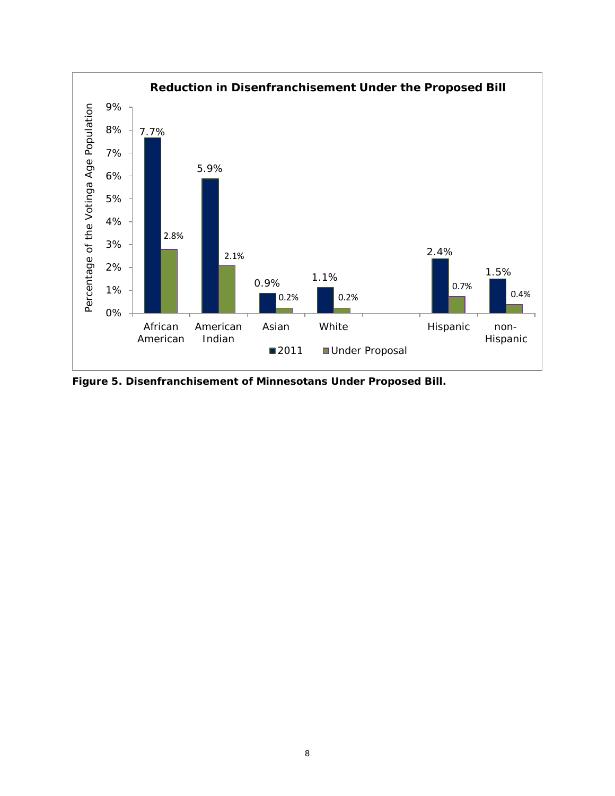

**Figure 5. Disenfranchisement of Minnesotans Under Proposed Bill.**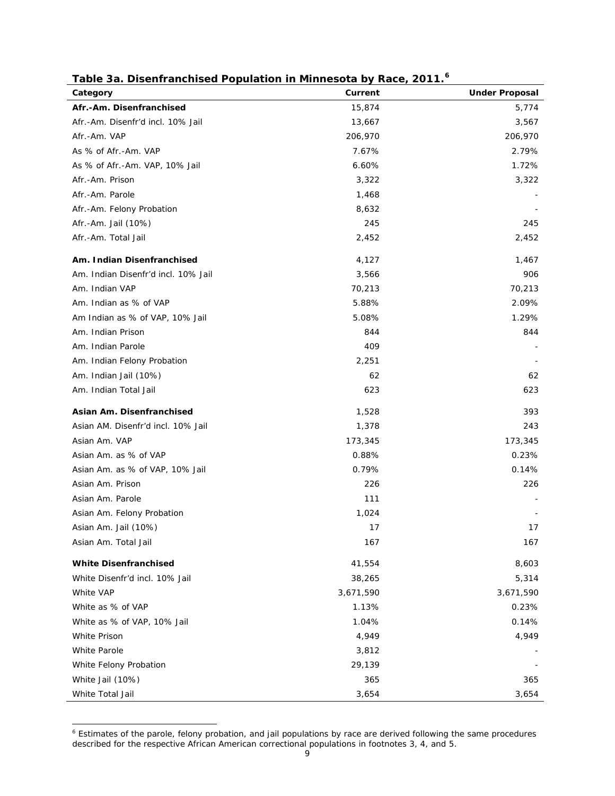| rapic ba. Discrimanomsca i opalation in immicsota by Kacc <sub>i</sub><br>Category | Current   | 20 I I.<br><b>Under Proposal</b> |
|------------------------------------------------------------------------------------|-----------|----------------------------------|
| Afr.-Am. Disenfranchised                                                           | 15,874    | 5,774                            |
| Afr.-Am. Disenfr'd incl. 10% Jail                                                  | 13,667    | 3,567                            |
| Afr.-Am. VAP                                                                       | 206,970   | 206,970                          |
| As % of Afr.-Am. VAP                                                               | 7.67%     | 2.79%                            |
| As % of Afr.-Am. VAP, 10% Jail                                                     | 6.60%     | 1.72%                            |
| Afr.-Am. Prison                                                                    | 3,322     | 3,322                            |
| Afr.-Am. Parole                                                                    | 1,468     |                                  |
| Afr.-Am. Felony Probation                                                          | 8,632     |                                  |
| Afr.-Am. Jail (10%)                                                                | 245       | 245                              |
| Afr.-Am. Total Jail                                                                | 2,452     | 2,452                            |
| Am. Indian Disenfranchised                                                         | 4,127     | 1,467                            |
| Am. Indian Disenfr'd incl. 10% Jail                                                | 3,566     | 906                              |
| Am. Indian VAP                                                                     | 70,213    | 70,213                           |
| Am. Indian as % of VAP                                                             | 5.88%     | 2.09%                            |
| Am Indian as % of VAP, 10% Jail                                                    | 5.08%     | 1.29%                            |
| Am. Indian Prison                                                                  | 844       | 844                              |
| Am. Indian Parole                                                                  | 409       |                                  |
| Am. Indian Felony Probation                                                        | 2,251     |                                  |
| Am. Indian Jail (10%)                                                              | 62        | 62                               |
| Am. Indian Total Jail                                                              | 623       | 623                              |
| Asian Am. Disenfranchised                                                          | 1,528     | 393                              |
| Asian AM. Disenfr'd incl. 10% Jail                                                 | 1,378     | 243                              |
| Asian Am. VAP                                                                      | 173,345   | 173,345                          |
| Asian Am. as % of VAP                                                              | 0.88%     | 0.23%                            |
| Asian Am. as % of VAP, 10% Jail                                                    | 0.79%     | 0.14%                            |
| Asian Am. Prison                                                                   | 226       | 226                              |
| Asian Am. Parole                                                                   | 111       |                                  |
| Asian Am. Felony Probation                                                         | 1,024     |                                  |
| Asian Am. Jail (10%)                                                               | 17        | 17                               |
| Asian Am. Total Jail                                                               | 167       | 167                              |
| <b>White Disenfranchised</b>                                                       | 41,554    | 8,603                            |
| White Disenfr'd incl. 10% Jail                                                     | 38,265    | 5,314                            |
| White VAP                                                                          | 3,671,590 | 3,671,590                        |
| White as % of VAP                                                                  | 1.13%     | 0.23%                            |
| White as % of VAP, 10% Jail                                                        | 1.04%     | 0.14%                            |
| White Prison                                                                       | 4,949     | 4,949                            |
| White Parole                                                                       | 3,812     |                                  |
| White Felony Probation                                                             | 29,139    |                                  |
| White Jail (10%)                                                                   | 365       | 365                              |
| White Total Jail                                                                   | 3,654     | 3,654                            |

# **Table 3a. Disenfranchised Population in Minnesota by Race, 2011. [6](#page-8-0)**

 $\overline{a}$ 

<span id="page-8-0"></span><sup>&</sup>lt;sup>6</sup> Estimates of the parole, felony probation, and jail populations by race are derived following the same procedures described for the respective African American correctional populations in footnotes 3, 4, and 5.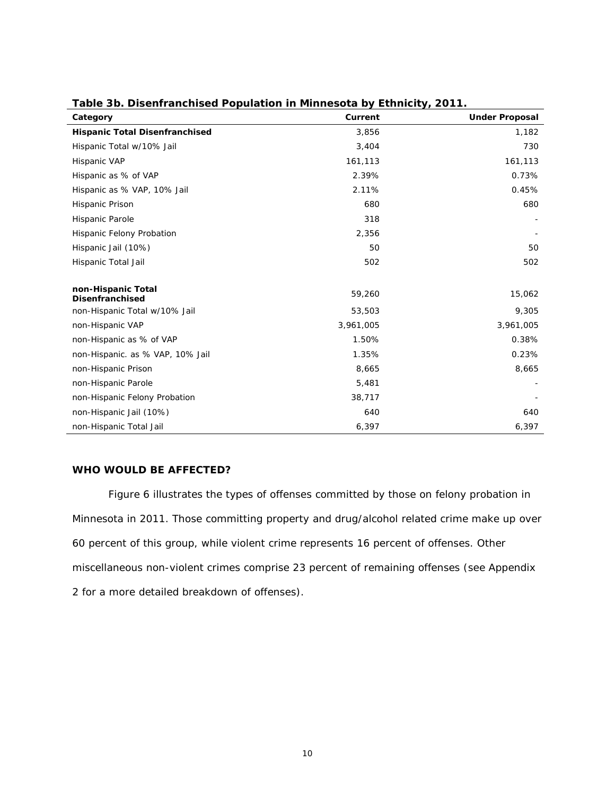| Category                                     | Current   | <b>Under Proposal</b> |
|----------------------------------------------|-----------|-----------------------|
| <b>Hispanic Total Disenfranchised</b>        | 3,856     | 1,182                 |
| Hispanic Total w/10% Jail                    | 3,404     | 730                   |
| Hispanic VAP                                 | 161,113   | 161,113               |
| Hispanic as % of VAP                         | 2.39%     | 0.73%                 |
| Hispanic as % VAP, 10% Jail                  | 2.11%     | 0.45%                 |
| Hispanic Prison                              | 680       | 680                   |
| Hispanic Parole                              | 318       |                       |
| <b>Hispanic Felony Probation</b>             | 2,356     |                       |
| Hispanic Jail (10%)                          | 50        | 50                    |
| Hispanic Total Jail                          | 502       | 502                   |
|                                              |           |                       |
| non-Hispanic Total<br><b>Disenfranchised</b> | 59,260    | 15,062                |
| non-Hispanic Total w/10% Jail                | 53,503    | 9,305                 |
| non-Hispanic VAP                             | 3,961,005 | 3,961,005             |
| non-Hispanic as % of VAP                     | 1.50%     | 0.38%                 |
| non-Hispanic. as % VAP, 10% Jail             | 1.35%     | 0.23%                 |
| non-Hispanic Prison                          | 8,665     | 8,665                 |
| non-Hispanic Parole                          | 5,481     |                       |
| non-Hispanic Felony Probation                | 38,717    |                       |
| non-Hispanic Jail (10%)                      | 640       | 640                   |
| non-Hispanic Total Jail                      | 6,397     | 6,397                 |

# **Table 3b. Disenfranchised Population in Minnesota by Ethnicity, 2011.**

#### **WHO WOULD BE AFFECTED?**

Figure 6 illustrates the types of offenses committed by those on felony probation in Minnesota in 2011. Those committing property and drug/alcohol related crime make up over 60 percent of this group, while violent crime represents 16 percent of offenses. Other miscellaneous non-violent crimes comprise 23 percent of remaining offenses (see Appendix 2 for a more detailed breakdown of offenses).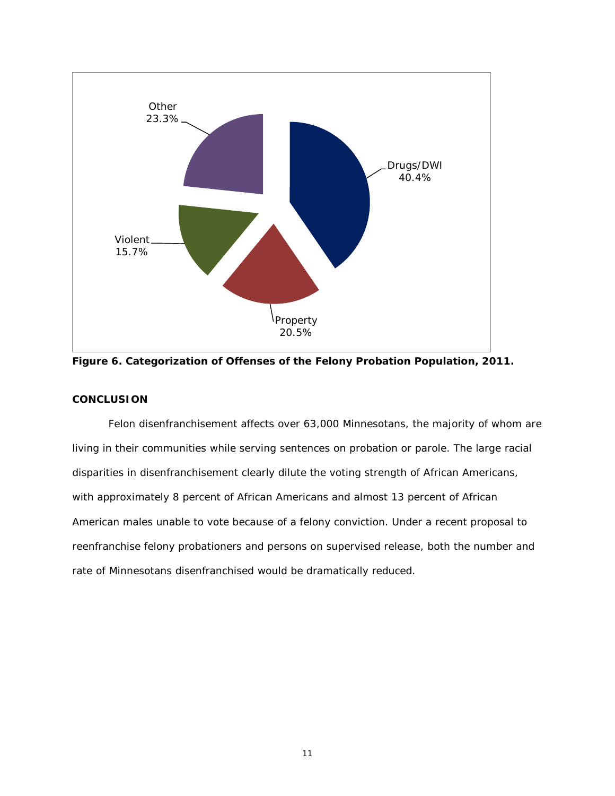

**Figure 6. Categorization of Offenses of the Felony Probation Population, 2011.**

# **CONCLUSION**

Felon disenfranchisement affects over 63,000 Minnesotans, the majority of whom are living in their communities while serving sentences on probation or parole. The large racial disparities in disenfranchisement clearly dilute the voting strength of African Americans, with approximately 8 percent of African Americans and almost 13 percent of African American males unable to vote because of a felony conviction. Under a recent proposal to reenfranchise felony probationers and persons on supervised release, both the number and rate of Minnesotans disenfranchised would be dramatically reduced.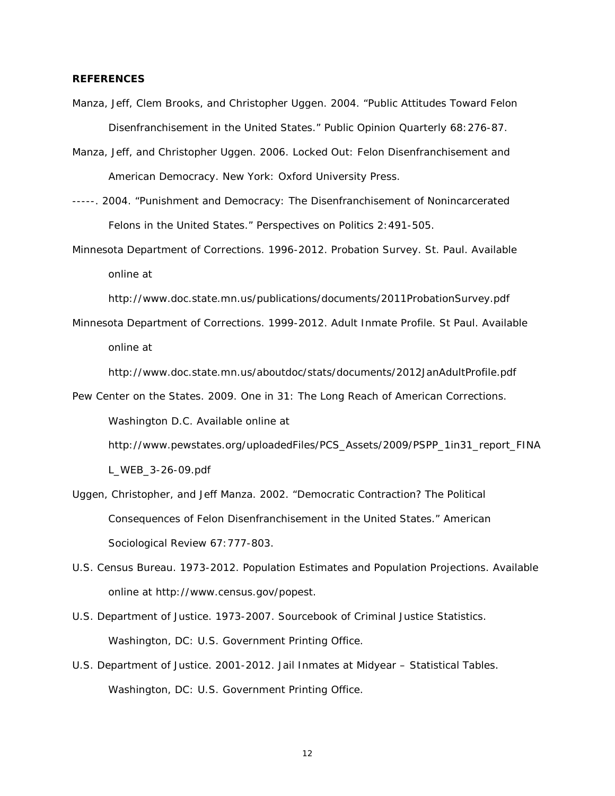#### **REFERENCES**

- Manza, [Jeff, Clem Brooks,](http://www.northwestern.edu/ipr/people/manza.html) and Christopher Uggen. 2004. "Public Attitudes Toward Felon Disenfranchisement in the United States." *[Public Opinion Quarterly](http://www.poq.oupjournals.org/)* 68:276-87.
- Manza, Jeff, and Christopher Uggen. 2006. *[Locked Out: Felon Disenfranchisement and](http://www.oup.com/us/catalog/general/subject/Sociology/Political/?pr=10&pf=0&ss=title.asc&sf=recommended&sd=asc&view=usa&ci=0195149327)  [American Democracy.](http://www.oup.com/us/catalog/general/subject/Sociology/Political/?pr=10&pf=0&ss=title.asc&sf=recommended&sd=asc&view=usa&ci=0195149327)* New York: Oxford University Press.
- -----. 2004. "Punishment and Democracy: The Disenfranchisement of Nonincarcerated Felons in the United States." *[Perspectives on Politics](http://www.apsanet.org/perspectives/)* 2:491-505.
- Minnesota Department of Corrections. 1996-2012. *Probation Survey.* St. Paul. Available online at

<http://www.doc.state.mn.us/publications/documents/2011ProbationSurvey.pdf>

Minnesota Department of Corrections. 1999-2012. *Adult Inmate Profile.* St Paul. Available online at

http://www.doc.state.mn.us/aboutdoc/stats/documents/2012JanAdultProfile.pdf

- Pew Center on the States. 2009. *One in 31: The Long Reach of American Corrections*. Washington D.C. Available online at http://www.pewstates.org/uploadedFiles/PCS\_Assets/2009/PSPP\_1in31\_report\_FINA L\_WEB\_3-26-09.pdf
- Uggen, Christopher, and [Jeff Manza.](http://www.northwestern.edu/ipr/people/manza.html) 2002. "Democratic Contraction? The Political Consequences of Felon Disenfranchisement in the United States." *[American](http://www.asanet.org/journals/asr/)  [Sociological Review](http://www.asanet.org/journals/asr/)* 67:777-803.
- U.S. Census Bureau. 1973-2012. *Population Estimates* and *Population Projections.* Available online at http://www.census.gov/popest.
- U.S. Department of Justice. 1973-2007. *Sourcebook of Criminal Justice Statistics*. Washington, DC: U.S. Government Printing Office.
- U.S. Department of Justice. 2001-2012. *Jail Inmates at Midyear – Statistical Tables*. Washington, DC: U.S. Government Printing Office.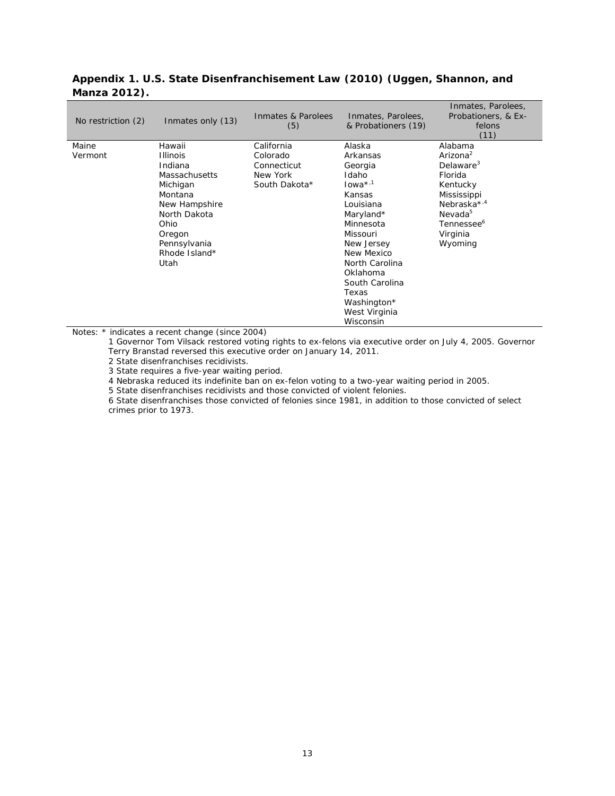| No restriction (2) | Inmates only (13)                                                                                                                                                               | Inmates & Parolees<br>(5)                                          | Inmates, Parolees,<br>& Probationers (19)                                                                                                                                                                                                         | Inmates, Parolees,<br>Probationers, & Ex-<br>felons<br>(11)                                                                                                                                       |
|--------------------|---------------------------------------------------------------------------------------------------------------------------------------------------------------------------------|--------------------------------------------------------------------|---------------------------------------------------------------------------------------------------------------------------------------------------------------------------------------------------------------------------------------------------|---------------------------------------------------------------------------------------------------------------------------------------------------------------------------------------------------|
| Maine<br>Vermont   | Hawaii<br><b>Illinois</b><br>Indiana<br><b>Massachusetts</b><br>Michigan<br>Montana<br>New Hampshire<br>North Dakota<br>Ohio<br>Oregon<br>Pennsylvania<br>Rhode Island*<br>Utah | California<br>Colorado<br>Connecticut<br>New York<br>South Dakota* | Alaska<br>Arkansas<br>Georgia<br>Idaho<br>$Iowa*1$<br>Kansas<br>Louisiana<br>Maryland*<br>Minnesota<br>Missouri<br>New Jersey<br>New Mexico<br>North Carolina<br>Oklahoma<br>South Carolina<br>Texas<br>Washington*<br>West Virginia<br>Wisconsin | Alabama<br>Arizona <sup>2</sup><br>Delaware <sup>3</sup><br>Florida<br>Kentucky<br>Mississippi<br>Nebraska <sup>*,4</sup><br>Nevada <sup>5</sup><br>Tennessee <sup>6</sup><br>Virginia<br>Wyoming |

# **Appendix 1. U.S. State Disenfranchisement Law (2010) (Uggen, Shannon, and Manza 2012).**

Notes: \* indicates a recent change (since 2004)

1 Governor Tom Vilsack restored voting rights to ex-felons via executive order on July 4, 2005. Governor Terry Branstad reversed this executive order on January 14, 2011.

2 State disenfranchises recidivists.

3 State requires a five-year waiting period.

4 Nebraska reduced its indefinite ban on ex-felon voting to a two-year waiting period in 2005.

5 State disenfranchises recidivists and those convicted of violent felonies.

6 State disenfranchises those convicted of felonies since 1981, in addition to those convicted of select crimes prior to 1973.